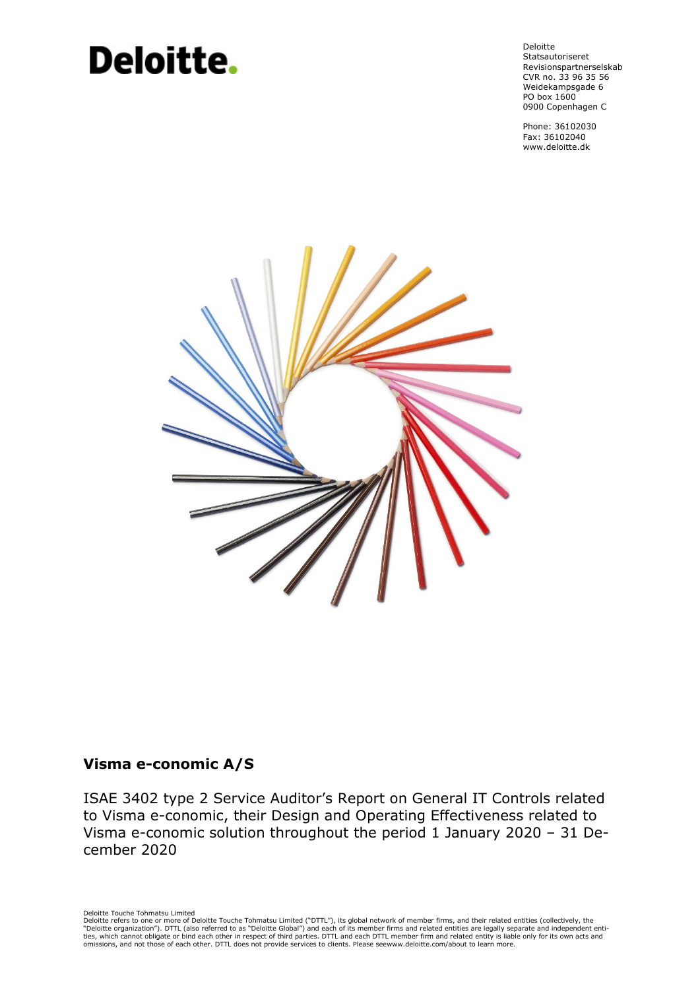# **Deloitte.**

Deloitte **Statsautoriseret** Revisionspartnerselskab CVR no. 33 96 35 56 Weidekampsgade 6 PO box 1600 0900 Copenhagen C

Phone: 36102030 Fax: 36102040 www.deloitte.dk



## **Visma e-conomic A/S**

ISAE 3402 type 2 Service Auditor's Report on General IT Controls related to Visma e-conomic, their Design and Operating Effectiveness related to Visma e-conomic solution throughout the period 1 January 2020 – 31 December 2020

Deloitte Touche Tohmatsu Limited<br>Deloitte refers to one or more of Deloitte Touche Tohmatsu Limited ("DTTL"), its global network of member firms, and their related entities (collectively, the<br>"Deloitte organization"). DTTL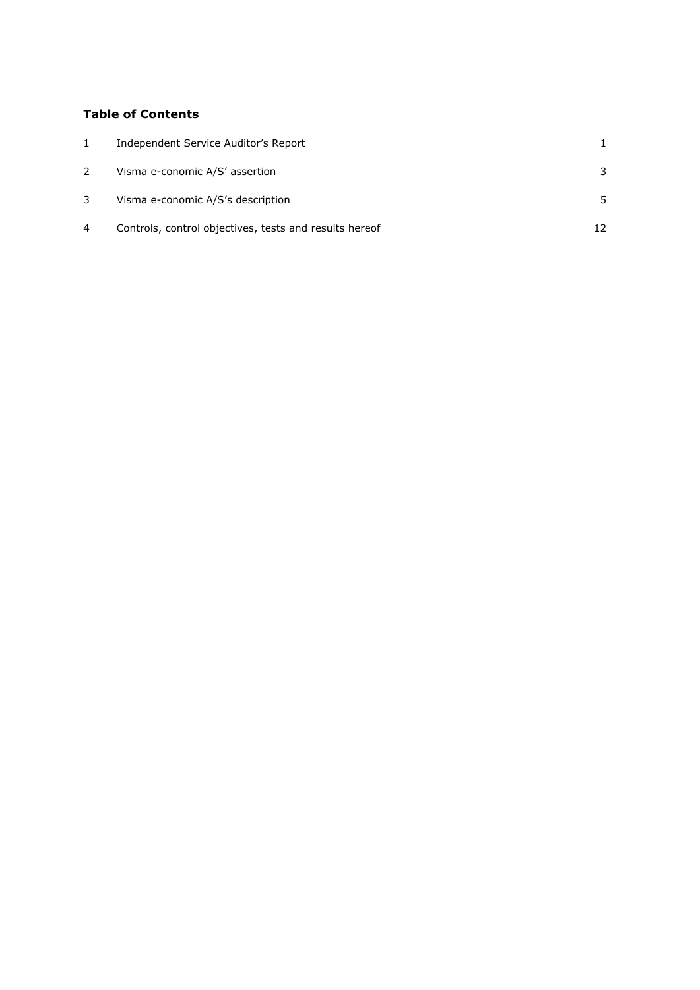## **Table of Contents**

|                | Independent Service Auditor's Report                   |    |
|----------------|--------------------------------------------------------|----|
|                | Visma e-conomic A/S' assertion                         | 3  |
| 3              | Visma e-conomic A/S's description                      |    |
| $\overline{4}$ | Controls, control objectives, tests and results hereof | 12 |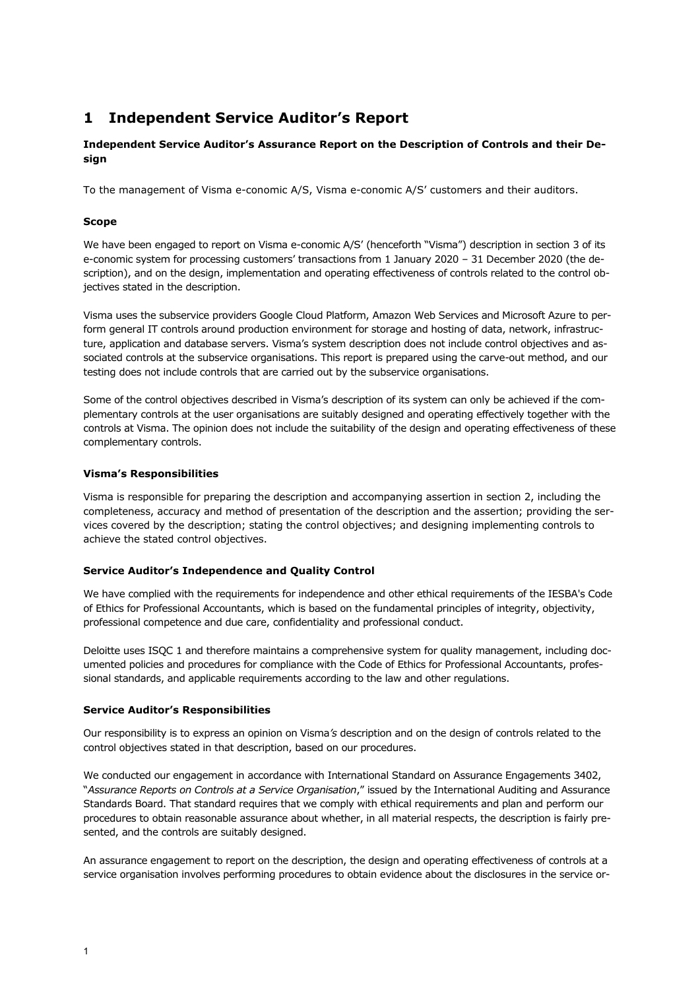## <span id="page-2-0"></span>**1 Independent Service Auditor's Report**

#### **Independent Service Auditor's Assurance Report on the Description of Controls and their Design**

To the management of Visma e-conomic A/S, Visma e-conomic A/S' customers and their auditors.

#### **Scope**

We have been engaged to report on Visma e-conomic A/S' (henceforth "Visma") description in section 3 of its e-conomic system for processing customers' transactions from 1 January 2020 – 31 December 2020 (the description), and on the design, implementation and operating effectiveness of controls related to the control objectives stated in the description.

Visma uses the subservice providers Google Cloud Platform, Amazon Web Services and Microsoft Azure to perform general IT controls around production environment for storage and hosting of data, network, infrastructure, application and database servers. Visma's system description does not include control objectives and associated controls at the subservice organisations. This report is prepared using the carve-out method, and our testing does not include controls that are carried out by the subservice organisations.

Some of the control objectives described in Visma's description of its system can only be achieved if the complementary controls at the user organisations are suitably designed and operating effectively together with the controls at Visma. The opinion does not include the suitability of the design and operating effectiveness of these complementary controls.

#### **Visma's Responsibilities**

Visma is responsible for preparing the description and accompanying assertion in section 2, including the completeness, accuracy and method of presentation of the description and the assertion; providing the services covered by the description; stating the control objectives; and designing implementing controls to achieve the stated control objectives.

#### **Service Auditor's Independence and Quality Control**

We have complied with the requirements for independence and other ethical requirements of the IESBA's Code of Ethics for Professional Accountants, which is based on the fundamental principles of integrity, objectivity, professional competence and due care, confidentiality and professional conduct.

Deloitte uses ISQC 1 and therefore maintains a comprehensive system for quality management, including documented policies and procedures for compliance with the Code of Ethics for Professional Accountants, professional standards, and applicable requirements according to the law and other regulations.

#### **Service Auditor's Responsibilities**

Our responsibility is to express an opinion on Visma*'s* description and on the design of controls related to the control objectives stated in that description, based on our procedures.

We conducted our engagement in accordance with International Standard on Assurance Engagements 3402, "*Assurance Reports on Controls at a Service Organisation*," issued by the International Auditing and Assurance Standards Board. That standard requires that we comply with ethical requirements and plan and perform our procedures to obtain reasonable assurance about whether, in all material respects, the description is fairly presented, and the controls are suitably designed.

An assurance engagement to report on the description, the design and operating effectiveness of controls at a service organisation involves performing procedures to obtain evidence about the disclosures in the service or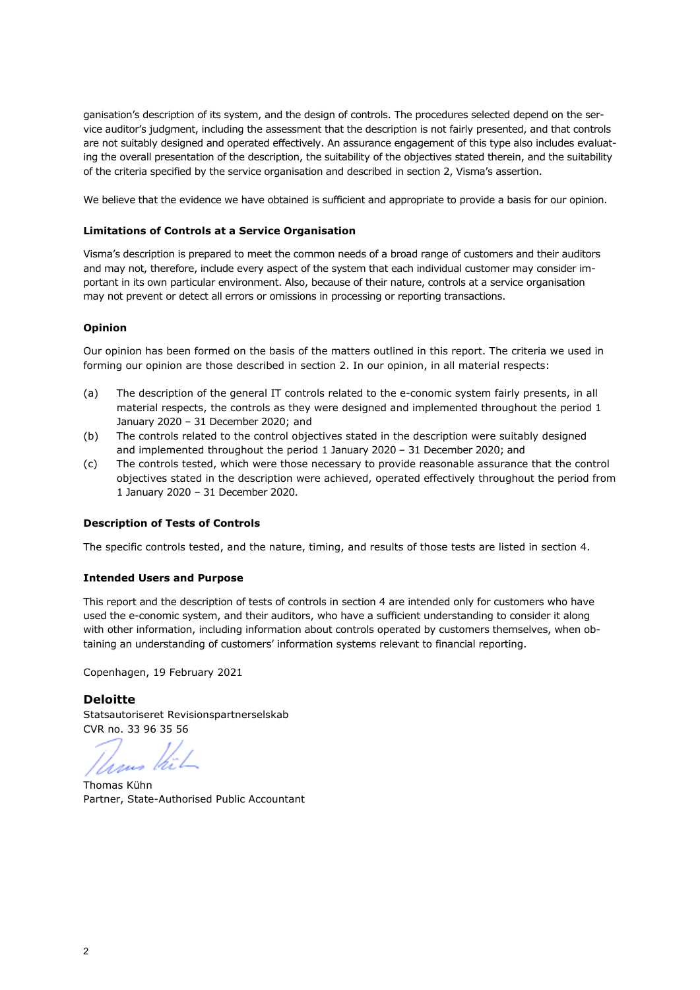ganisation's description of its system, and the design of controls. The procedures selected depend on the service auditor's judgment, including the assessment that the description is not fairly presented, and that controls are not suitably designed and operated effectively. An assurance engagement of this type also includes evaluating the overall presentation of the description, the suitability of the objectives stated therein, and the suitability of the criteria specified by the service organisation and described in section 2, Visma's assertion.

We believe that the evidence we have obtained is sufficient and appropriate to provide a basis for our opinion.

#### **Limitations of Controls at a Service Organisation**

Visma's description is prepared to meet the common needs of a broad range of customers and their auditors and may not, therefore, include every aspect of the system that each individual customer may consider important in its own particular environment. Also, because of their nature, controls at a service organisation may not prevent or detect all errors or omissions in processing or reporting transactions.

#### **Opinion**

Our opinion has been formed on the basis of the matters outlined in this report. The criteria we used in forming our opinion are those described in section 2. In our opinion, in all material respects:

- (a) The description of the general IT controls related to the e-conomic system fairly presents, in all material respects, the controls as they were designed and implemented throughout the period 1 January 2020 – 31 December 2020; and
- (b) The controls related to the control objectives stated in the description were suitably designed and implemented throughout the period 1 January 2020 – 31 December 2020; and
- (c) The controls tested, which were those necessary to provide reasonable assurance that the control objectives stated in the description were achieved, operated effectively throughout the period from 1 January 2020 – 31 December 2020.

#### **Description of Tests of Controls**

The specific controls tested, and the nature, timing, and results of those tests are listed in section 4.

#### **Intended Users and Purpose**

This report and the description of tests of controls in section 4 are intended only for customers who have used the e-conomic system, and their auditors, who have a sufficient understanding to consider it along with other information, including information about controls operated by customers themselves, when obtaining an understanding of customers' information systems relevant to financial reporting.

Copenhagen, 19 February 2021

**Deloitte** Statsautoriseret Revisionspartnerselskab CVR no. 33 96 35 56

Ilasus Kie

Partner, State-Authorised Public Accountant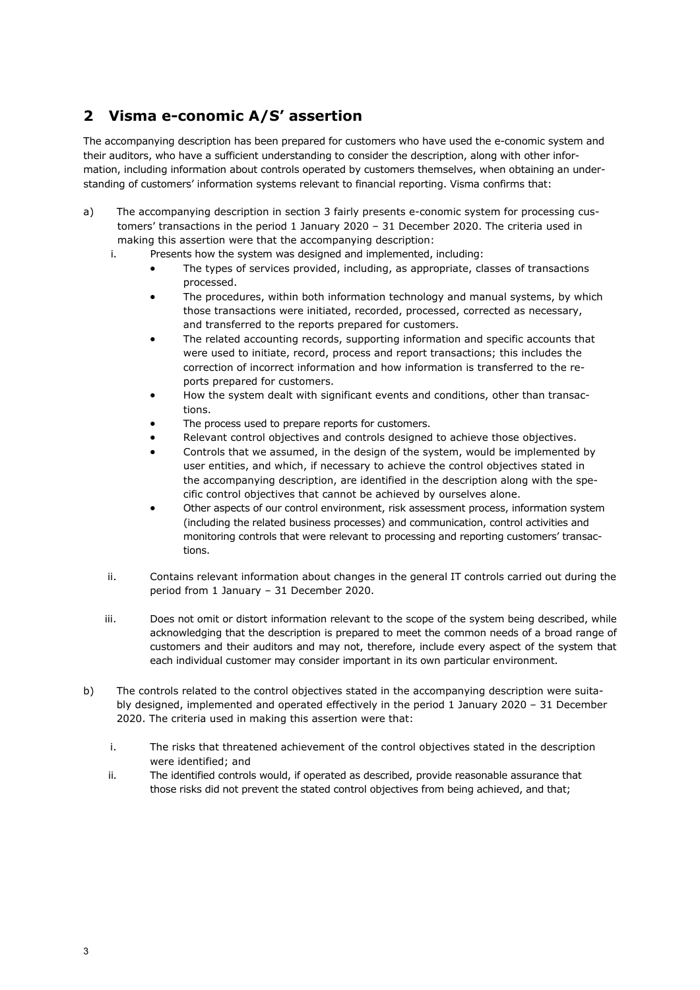# <span id="page-4-0"></span>**2 Visma e-conomic A/S' assertion**

The accompanying description has been prepared for customers who have used the e-conomic system and their auditors, who have a sufficient understanding to consider the description, along with other information, including information about controls operated by customers themselves, when obtaining an understanding of customers' information systems relevant to financial reporting. Visma confirms that:

- a) The accompanying description in section 3 fairly presents e-conomic system for processing customers' transactions in the period 1 January 2020 – 31 December 2020. The criteria used in making this assertion were that the accompanying description:
	- i. Presents how the system was designed and implemented, including:
		- The types of services provided, including, as appropriate, classes of transactions processed.
		- The procedures, within both information technology and manual systems, by which those transactions were initiated, recorded, processed, corrected as necessary, and transferred to the reports prepared for customers.
		- The related accounting records, supporting information and specific accounts that were used to initiate, record, process and report transactions; this includes the correction of incorrect information and how information is transferred to the reports prepared for customers.
		- How the system dealt with significant events and conditions, other than transactions.
		- The process used to prepare reports for customers.
		- Relevant control objectives and controls designed to achieve those objectives.
		- Controls that we assumed, in the design of the system, would be implemented by user entities, and which, if necessary to achieve the control objectives stated in the accompanying description, are identified in the description along with the specific control objectives that cannot be achieved by ourselves alone.
		- Other aspects of our control environment, risk assessment process, information system (including the related business processes) and communication, control activities and monitoring controls that were relevant to processing and reporting customers' transactions.
	- ii. Contains relevant information about changes in the general IT controls carried out during the period from 1 January – 31 December 2020.
	- iii. Does not omit or distort information relevant to the scope of the system being described, while acknowledging that the description is prepared to meet the common needs of a broad range of customers and their auditors and may not, therefore, include every aspect of the system that each individual customer may consider important in its own particular environment.
- b) The controls related to the control objectives stated in the accompanying description were suitably designed, implemented and operated effectively in the period 1 January 2020 – 31 December 2020. The criteria used in making this assertion were that:
	- i. The risks that threatened achievement of the control objectives stated in the description were identified; and
	- ii. The identified controls would, if operated as described, provide reasonable assurance that those risks did not prevent the stated control objectives from being achieved, and that;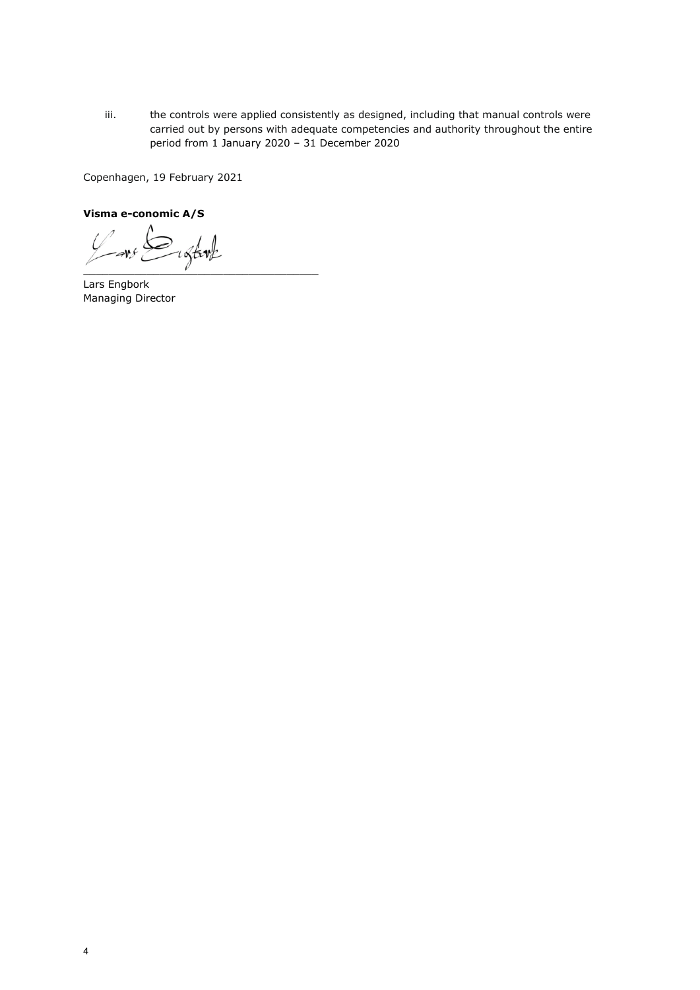iii. the controls were applied consistently as designed, including that manual controls were carried out by persons with adequate competencies and authority throughout the entire period from 1 January 2020 – 31 December 2020

Copenhagen, 19 February 2021

**Visma e-conomic A/S**

 $\mathcal{L}_{\mathcal{A}}$  $\overline{\mathcal{L}}$ 

Lars Engbork Managing Director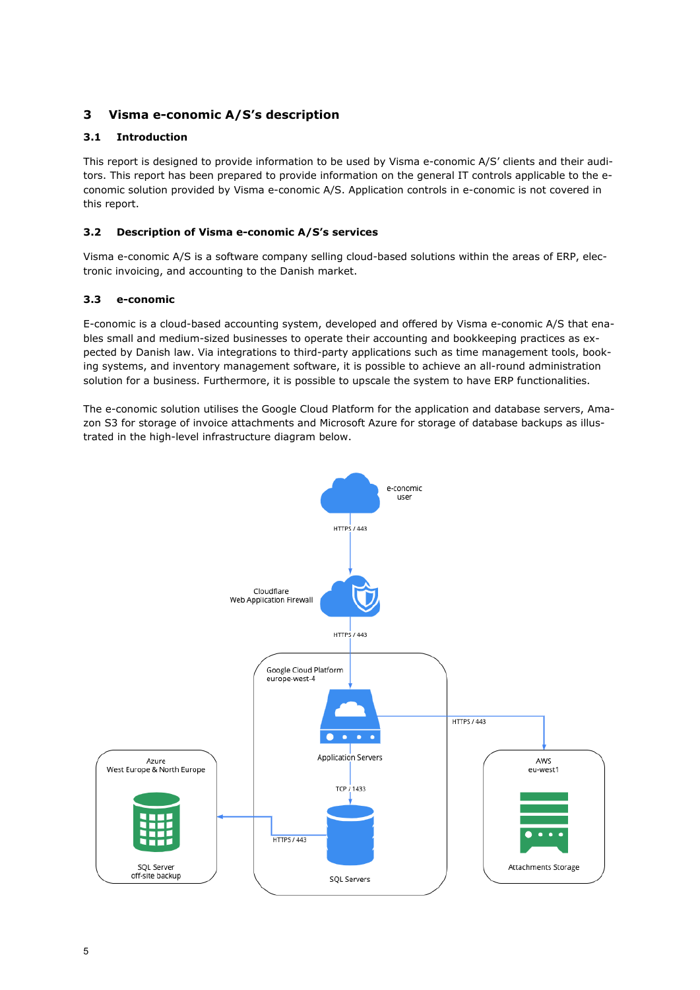## <span id="page-6-0"></span>**3 Visma e-conomic A/S's description**

### **3.1 Introduction**

This report is designed to provide information to be used by Visma e-conomic A/S' clients and their auditors. This report has been prepared to provide information on the general IT controls applicable to the economic solution provided by Visma e-conomic A/S. Application controls in e-conomic is not covered in this report.

#### **3.2 Description of Visma e-conomic A/S's services**

Visma e-conomic A/S is a software company selling cloud-based solutions within the areas of ERP, electronic invoicing, and accounting to the Danish market.

## **3.3 e-conomic**

E-conomic is a cloud-based accounting system, developed and offered by Visma e-conomic A/S that enables small and medium-sized businesses to operate their accounting and bookkeeping practices as expected by Danish law. Via integrations to third-party applications such as time management tools, booking systems, and inventory management software, it is possible to achieve an all-round administration solution for a business. Furthermore, it is possible to upscale the system to have ERP functionalities.

The e-conomic solution utilises the Google Cloud Platform for the application and database servers, Amazon S3 for storage of invoice attachments and Microsoft Azure for storage of database backups as illustrated in the high-level infrastructure diagram below.

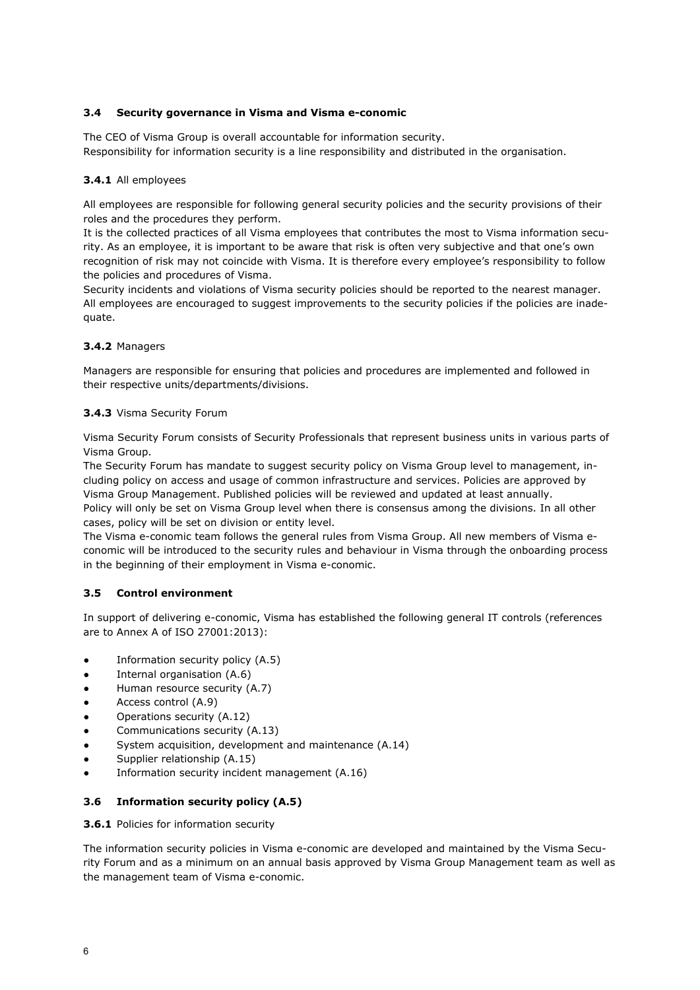#### **3.4 Security governance in Visma and Visma e-conomic**

The CEO of Visma Group is overall accountable for information security. Responsibility for information security is a line responsibility and distributed in the organisation.

#### **3.4.1** All employees

All employees are responsible for following general security policies and the security provisions of their roles and the procedures they perform.

It is the collected practices of all Visma employees that contributes the most to Visma information security. As an employee, it is important to be aware that risk is often very subjective and that one's own recognition of risk may not coincide with Visma. It is therefore every employee's responsibility to follow the policies and procedures of Visma.

Security incidents and violations of Visma security policies should be reported to the nearest manager. All employees are encouraged to suggest improvements to the security policies if the policies are inadequate.

#### **3.4.2** Managers

Managers are responsible for ensuring that policies and procedures are implemented and followed in their respective units/departments/divisions.

#### **3.4.3** Visma Security Forum

Visma Security Forum consists of Security Professionals that represent business units in various parts of Visma Group.

The Security Forum has mandate to suggest security policy on Visma Group level to management, including policy on access and usage of common infrastructure and services. Policies are approved by Visma Group Management. Published policies will be reviewed and updated at least annually. Policy will only be set on Visma Group level when there is consensus among the divisions. In all other cases, policy will be set on division or entity level.

The Visma e-conomic team follows the general rules from Visma Group. All new members of Visma economic will be introduced to the security rules and behaviour in Visma through the onboarding process in the beginning of their employment in Visma e-conomic.

#### **3.5 Control environment**

In support of delivering e-conomic, Visma has established the following general IT controls (references are to Annex A of ISO 27001:2013):

- Information security policy (A.5)
- Internal organisation (A.6)
- Human resource security (A.7)
- Access control (A.9)
- Operations security (A.12)
- Communications security (A.13)
- System acquisition, development and maintenance (A.14)
- $\bullet$  Supplier relationship  $(A.15)$
- Information security incident management (A.16)

#### **3.6 Information security policy (A.5)**

#### **3.6.1** Policies for information security

The information security policies in Visma e-conomic are developed and maintained by the Visma Security Forum and as a minimum on an annual basis approved by Visma Group Management team as well as the management team of Visma e-conomic.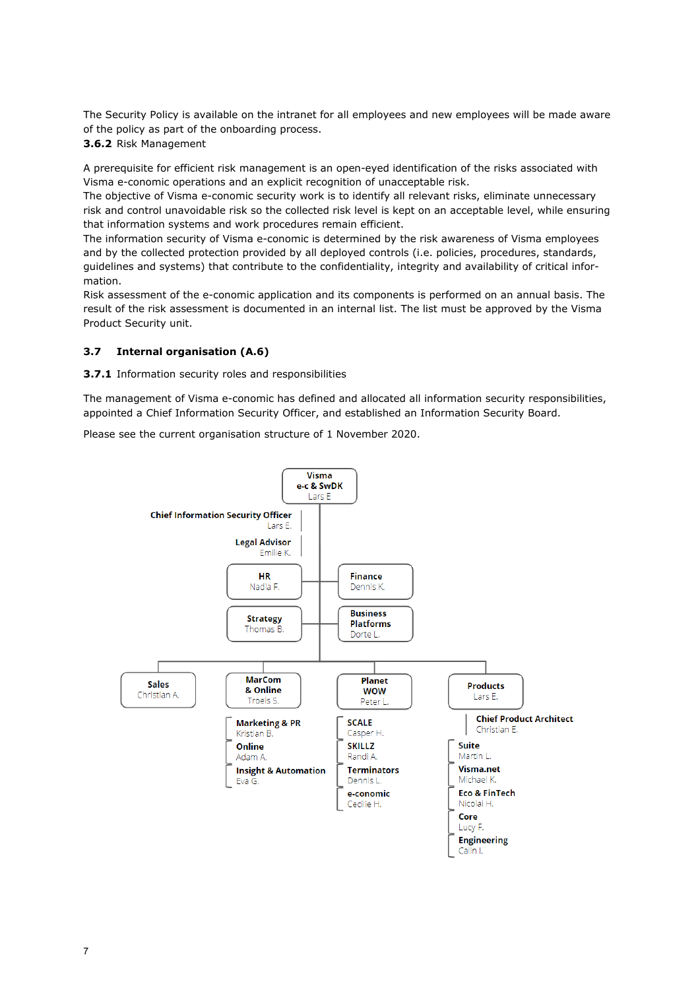The Security Policy is available on the intranet for all employees and new employees will be made aware of the policy as part of the onboarding process.

#### **3.6.2** Risk Management

A prerequisite for efficient risk management is an open-eyed identification of the risks associated with Visma e-conomic operations and an explicit recognition of unacceptable risk.

The objective of Visma e-conomic security work is to identify all relevant risks, eliminate unnecessary risk and control unavoidable risk so the collected risk level is kept on an acceptable level, while ensuring that information systems and work procedures remain efficient.

The information security of Visma e-conomic is determined by the risk awareness of Visma employees and by the collected protection provided by all deployed controls (i.e. policies, procedures, standards, guidelines and systems) that contribute to the confidentiality, integrity and availability of critical information.

Risk assessment of the e-conomic application and its components is performed on an annual basis. The result of the risk assessment is documented in an internal list. The list must be approved by the Visma Product Security unit.

#### **3.7 Internal organisation (A.6)**

**3.7.1** Information security roles and responsibilities

The management of Visma e-conomic has defined and allocated all information security responsibilities, appointed a Chief Information Security Officer, and established an Information Security Board.

Please see the current organisation structure of 1 November 2020.

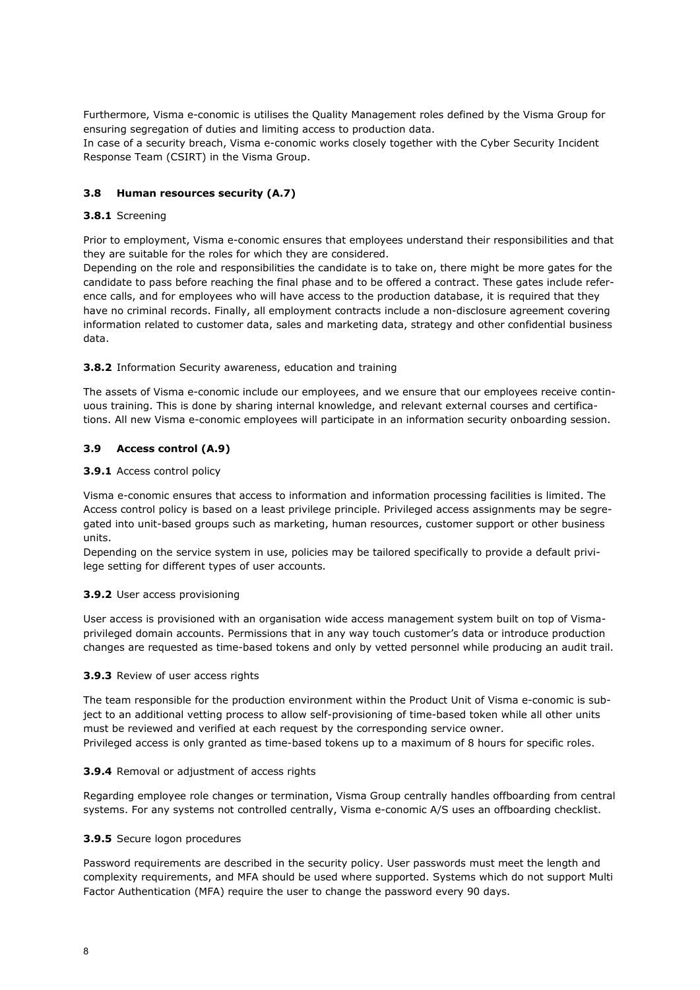Furthermore, Visma e-conomic is utilises the Quality Management roles defined by the Visma Group for ensuring segregation of duties and limiting access to production data.

In case of a security breach, Visma e-conomic works closely together with the Cyber Security Incident Response Team (CSIRT) in the Visma Group.

#### **3.8 Human resources security (A.7)**

#### **3.8.1** Screening

Prior to employment, Visma e-conomic ensures that employees understand their responsibilities and that they are suitable for the roles for which they are considered.

Depending on the role and responsibilities the candidate is to take on, there might be more gates for the candidate to pass before reaching the final phase and to be offered a contract. These gates include reference calls, and for employees who will have access to the production database, it is required that they have no criminal records. Finally, all employment contracts include a non-disclosure agreement covering information related to customer data, sales and marketing data, strategy and other confidential business data.

#### **3.8.2** Information Security awareness, education and training

The assets of Visma e-conomic include our employees, and we ensure that our employees receive continuous training. This is done by sharing internal knowledge, and relevant external courses and certifications. All new Visma e-conomic employees will participate in an information security onboarding session.

#### **3.9 Access control (A.9)**

#### **3.9.1** Access control policy

Visma e-conomic ensures that access to information and information processing facilities is limited. The Access control policy is based on a least privilege principle. Privileged access assignments may be segregated into unit-based groups such as marketing, human resources, customer support or other business units.

Depending on the service system in use, policies may be tailored specifically to provide a default privilege setting for different types of user accounts.

#### **3.9.2** User access provisioning

User access is provisioned with an organisation wide access management system built on top of Vismaprivileged domain accounts. Permissions that in any way touch customer's data or introduce production changes are requested as time-based tokens and only by vetted personnel while producing an audit trail.

#### **3.9.3** Review of user access rights

The team responsible for the production environment within the Product Unit of Visma e-conomic is subject to an additional vetting process to allow self-provisioning of time-based token while all other units must be reviewed and verified at each request by the corresponding service owner. Privileged access is only granted as time-based tokens up to a maximum of 8 hours for specific roles.

#### **3.9.4** Removal or adjustment of access rights

Regarding employee role changes or termination, Visma Group centrally handles offboarding from central systems. For any systems not controlled centrally, Visma e-conomic A/S uses an offboarding checklist.

#### **3.9.5** Secure logon procedures

Password requirements are described in the security policy. User passwords must meet the length and complexity requirements, and MFA should be used where supported. Systems which do not support Multi Factor Authentication (MFA) require the user to change the password every 90 days.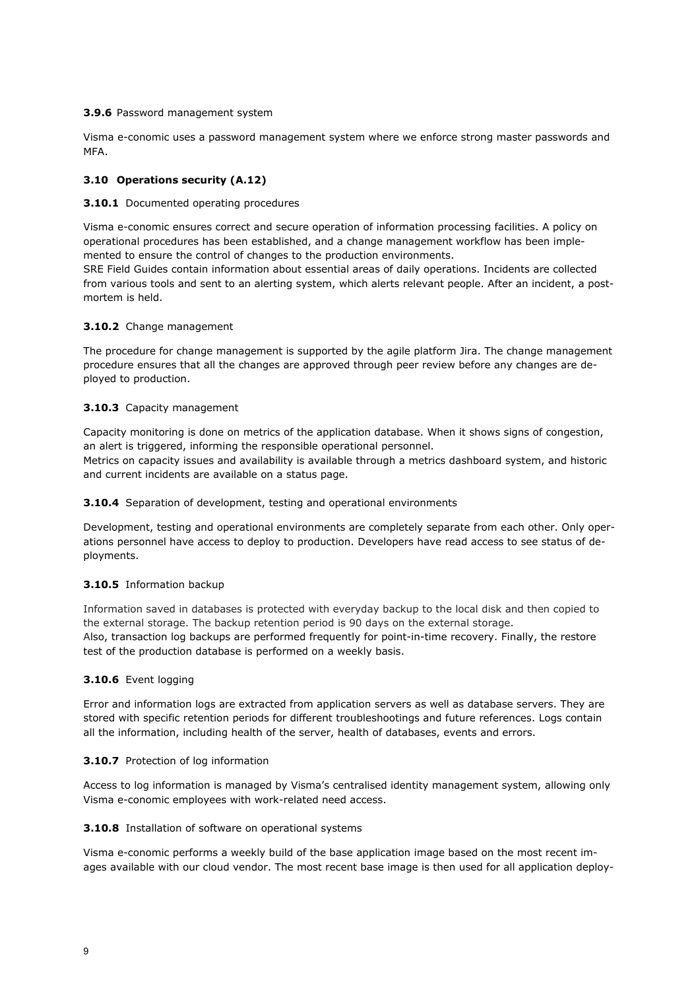#### **3.9.6** Password management system

Visma e-conomic uses a password management system where we enforce strong master passwords and MFA.

#### **3.10 Operations security (A.12)**

#### **3.10.1** Documented operating procedures

Visma e-conomic ensures correct and secure operation of information processing facilities. A policy on operational procedures has been established, and a change management workflow has been implemented to ensure the control of changes to the production environments.

SRE Field Guides contain information about essential areas of daily operations. Incidents are collected from various tools and sent to an alerting system, which alerts relevant people. After an incident, a postmortem is held.

#### **3.10.2** Change management

The procedure for change management is supported by the agile platform Jira. The change management procedure ensures that all the changes are approved through peer review before any changes are deployed to production.

#### **3.10.3** Capacity management

Capacity monitoring is done on metrics of the application database. When it shows signs of congestion, an alert is triggered, informing the responsible operational personnel.

Metrics on capacity issues and availability is available through a metrics dashboard system, and historic and current incidents are available on a status page.

#### **3.10.4** Separation of development, testing and operational environments

Development, testing and operational environments are completely separate from each other. Only operations personnel have access to deploy to production. Developers have read access to see status of deployments.

#### **3.10.5** Information backup

Information saved in databases is protected with everyday backup to the local disk and then copied to the external storage. The backup retention period is 90 days on the external storage. Also, transaction log backups are performed frequently for point-in-time recovery. Finally, the restore test of the production database is performed on a weekly basis.

#### **3.10.6** Event logging

Error and information logs are extracted from application servers as well as database servers. They are stored with specific retention periods for different troubleshootings and future references. Logs contain all the information, including health of the server, health of databases, events and errors.

#### **3.10.7** Protection of log information

Access to log information is managed by Visma's centralised identity management system, allowing only Visma e-conomic employees with work-related need access.

#### **3.10.8** Installation of software on operational systems

Visma e-conomic performs a weekly build of the base application image based on the most recent images available with our cloud vendor. The most recent base image is then used for all application deploy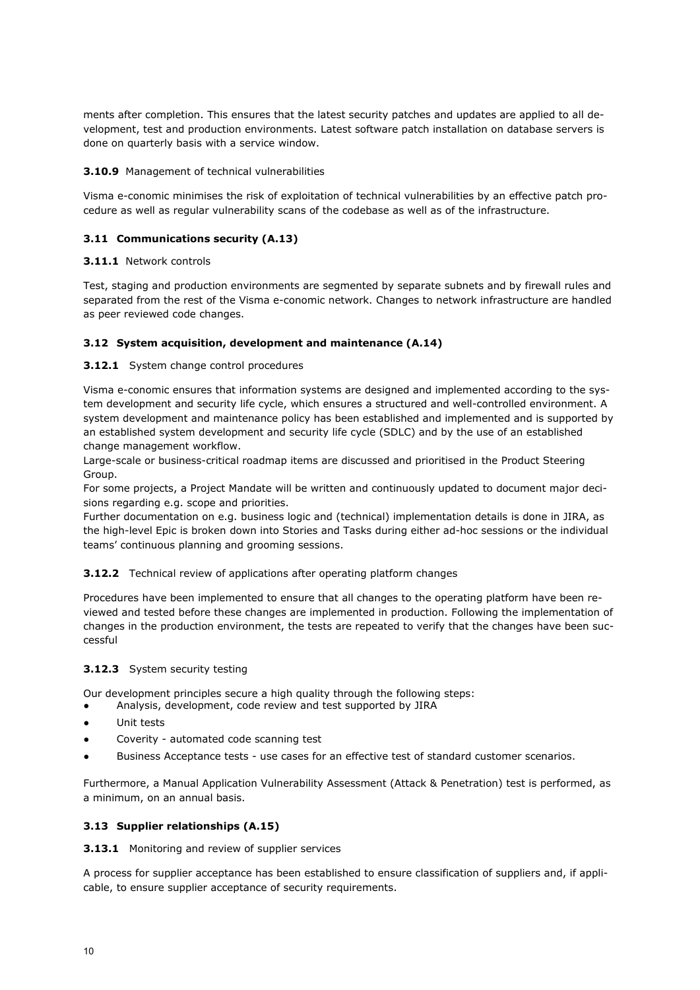ments after completion. This ensures that the latest security patches and updates are applied to all development, test and production environments. Latest software patch installation on database servers is done on quarterly basis with a service window.

#### **3.10.9** Management of technical vulnerabilities

Visma e-conomic minimises the risk of exploitation of technical vulnerabilities by an effective patch procedure as well as regular vulnerability scans of the codebase as well as of the infrastructure.

#### **3.11 Communications security (A.13)**

#### **3.11.1** Network controls

Test, staging and production environments are segmented by separate subnets and by firewall rules and separated from the rest of the Visma e-conomic network. Changes to network infrastructure are handled as peer reviewed code changes.

#### **3.12 System acquisition, development and maintenance (A.14)**

#### **3.12.1** System change control procedures

Visma e-conomic ensures that information systems are designed and implemented according to the system development and security life cycle, which ensures a structured and well-controlled environment. A system development and maintenance policy has been established and implemented and is supported by an established system development and security life cycle (SDLC) and by the use of an established change management workflow.

Large-scale or business-critical roadmap items are discussed and prioritised in the Product Steering Group.

For some projects, a Project Mandate will be written and continuously updated to document major decisions regarding e.g. scope and priorities.

Further documentation on e.g. business logic and (technical) implementation details is done in JIRA, as the high-level Epic is broken down into Stories and Tasks during either ad-hoc sessions or the individual teams' continuous planning and grooming sessions.

#### **3.12.2** Technical review of applications after operating platform changes

Procedures have been implemented to ensure that all changes to the operating platform have been reviewed and tested before these changes are implemented in production. Following the implementation of changes in the production environment, the tests are repeated to verify that the changes have been successful

#### **3.12.3** System security testing

Our development principles secure a high quality through the following steps:

- Analysis, development, code review and test supported by JIRA
- Unit tests
- Coverity automated code scanning test
- Business Acceptance tests use cases for an effective test of standard customer scenarios.

Furthermore, a Manual Application Vulnerability Assessment (Attack & Penetration) test is performed, as a minimum, on an annual basis.

#### **3.13 Supplier relationships (A.15)**

**3.13.1** Monitoring and review of supplier services

A process for supplier acceptance has been established to ensure classification of suppliers and, if applicable, to ensure supplier acceptance of security requirements.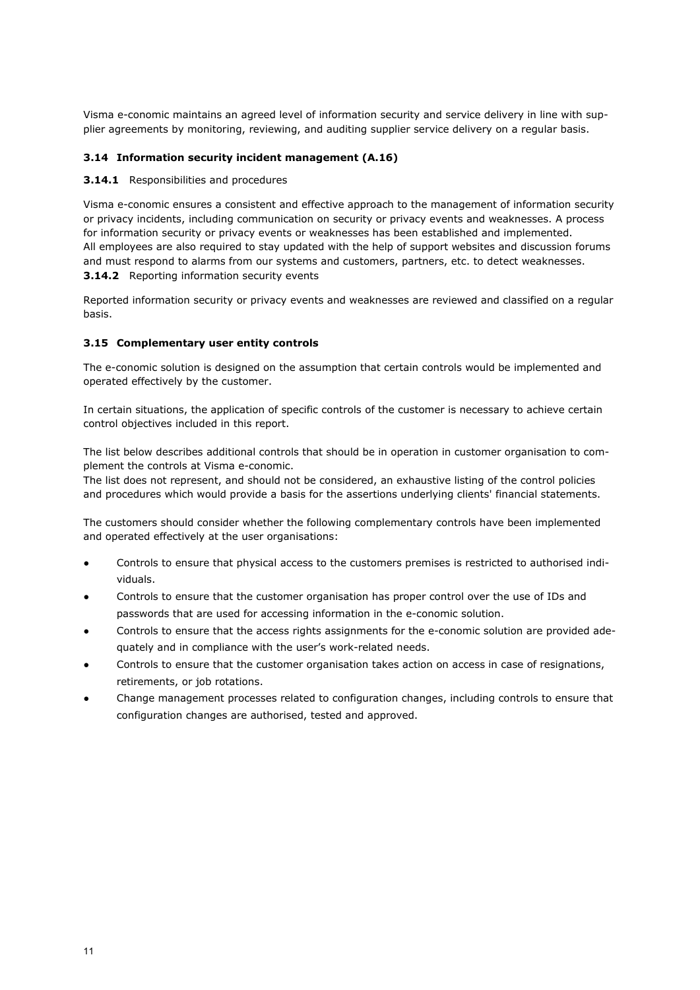Visma e-conomic maintains an agreed level of information security and service delivery in line with supplier agreements by monitoring, reviewing, and auditing supplier service delivery on a regular basis.

#### **3.14 Information security incident management (A.16)**

#### **3.14.1** Responsibilities and procedures

Visma e-conomic ensures a consistent and effective approach to the management of information security or privacy incidents, including communication on security or privacy events and weaknesses. A process for information security or privacy events or weaknesses has been established and implemented. All employees are also required to stay updated with the help of support websites and discussion forums and must respond to alarms from our systems and customers, partners, etc. to detect weaknesses. **3.14.2** Reporting information security events

Reported information security or privacy events and weaknesses are reviewed and classified on a regular basis.

#### **3.15 Complementary user entity controls**

The e-conomic solution is designed on the assumption that certain controls would be implemented and operated effectively by the customer.

In certain situations, the application of specific controls of the customer is necessary to achieve certain control objectives included in this report.

The list below describes additional controls that should be in operation in customer organisation to complement the controls at Visma e-conomic.

The list does not represent, and should not be considered, an exhaustive listing of the control policies and procedures which would provide a basis for the assertions underlying clients' financial statements.

The customers should consider whether the following complementary controls have been implemented and operated effectively at the user organisations:

- Controls to ensure that physical access to the customers premises is restricted to authorised individuals.
- Controls to ensure that the customer organisation has proper control over the use of IDs and passwords that are used for accessing information in the e-conomic solution.
- Controls to ensure that the access rights assignments for the e-conomic solution are provided adequately and in compliance with the user's work-related needs.
- Controls to ensure that the customer organisation takes action on access in case of resignations, retirements, or job rotations.
- Change management processes related to configuration changes, including controls to ensure that configuration changes are authorised, tested and approved.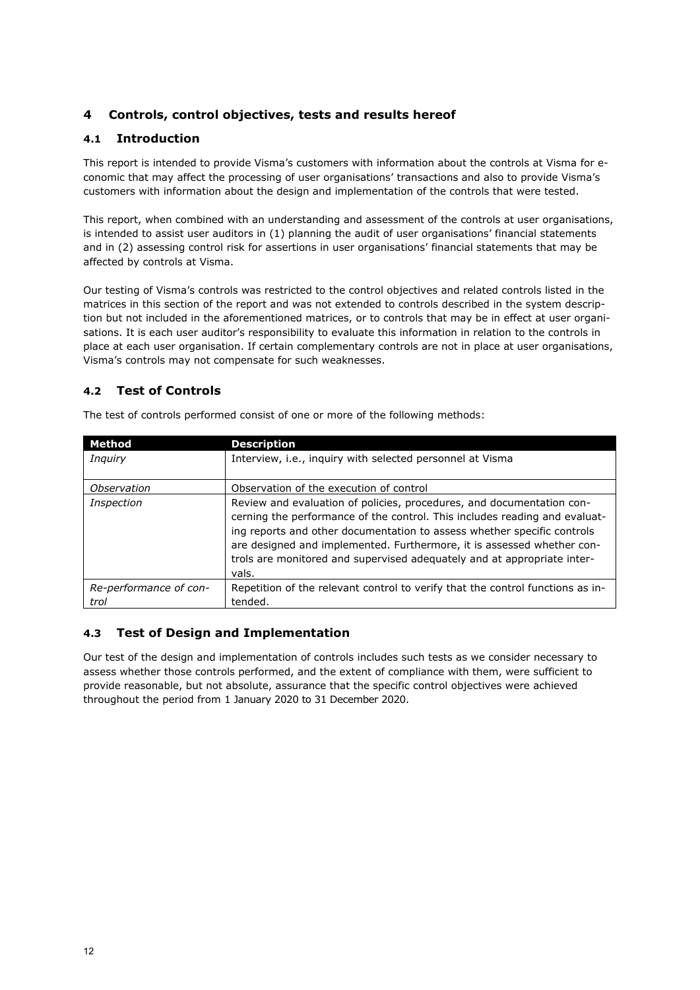## <span id="page-13-0"></span>**4 Controls, control objectives, tests and results hereof**

## **4.1 Introduction**

This report is intended to provide Visma's customers with information about the controls at Visma for economic that may affect the processing of user organisations' transactions and also to provide Visma's customers with information about the design and implementation of the controls that were tested.

This report, when combined with an understanding and assessment of the controls at user organisations, is intended to assist user auditors in (1) planning the audit of user organisations' financial statements and in (2) assessing control risk for assertions in user organisations' financial statements that may be affected by controls at Visma.

Our testing of Visma's controls was restricted to the control objectives and related controls listed in the matrices in this section of the report and was not extended to controls described in the system description but not included in the aforementioned matrices, or to controls that may be in effect at user organisations. It is each user auditor's responsibility to evaluate this information in relation to the controls in place at each user organisation. If certain complementary controls are not in place at user organisations, Visma's controls may not compensate for such weaknesses.

## **4.2 Test of Controls**

| Method                         | <b>Description</b>                                                                                                                                                                                                                                                                                                                                                                           |
|--------------------------------|----------------------------------------------------------------------------------------------------------------------------------------------------------------------------------------------------------------------------------------------------------------------------------------------------------------------------------------------------------------------------------------------|
| Inguiry                        | Interview, i.e., inquiry with selected personnel at Visma                                                                                                                                                                                                                                                                                                                                    |
| Observation                    | Observation of the execution of control                                                                                                                                                                                                                                                                                                                                                      |
| Inspection                     | Review and evaluation of policies, procedures, and documentation con-<br>cerning the performance of the control. This includes reading and evaluat-<br>ing reports and other documentation to assess whether specific controls<br>are designed and implemented. Furthermore, it is assessed whether con-<br>trols are monitored and supervised adequately and at appropriate inter-<br>vals. |
| Re-performance of con-<br>trol | Repetition of the relevant control to verify that the control functions as in-<br>tended.                                                                                                                                                                                                                                                                                                    |

The test of controls performed consist of one or more of the following methods:

## **4.3 Test of Design and Implementation**

Our test of the design and implementation of controls includes such tests as we consider necessary to assess whether those controls performed, and the extent of compliance with them, were sufficient to provide reasonable, but not absolute, assurance that the specific control objectives were achieved throughout the period from 1 January 2020 to 31 December 2020.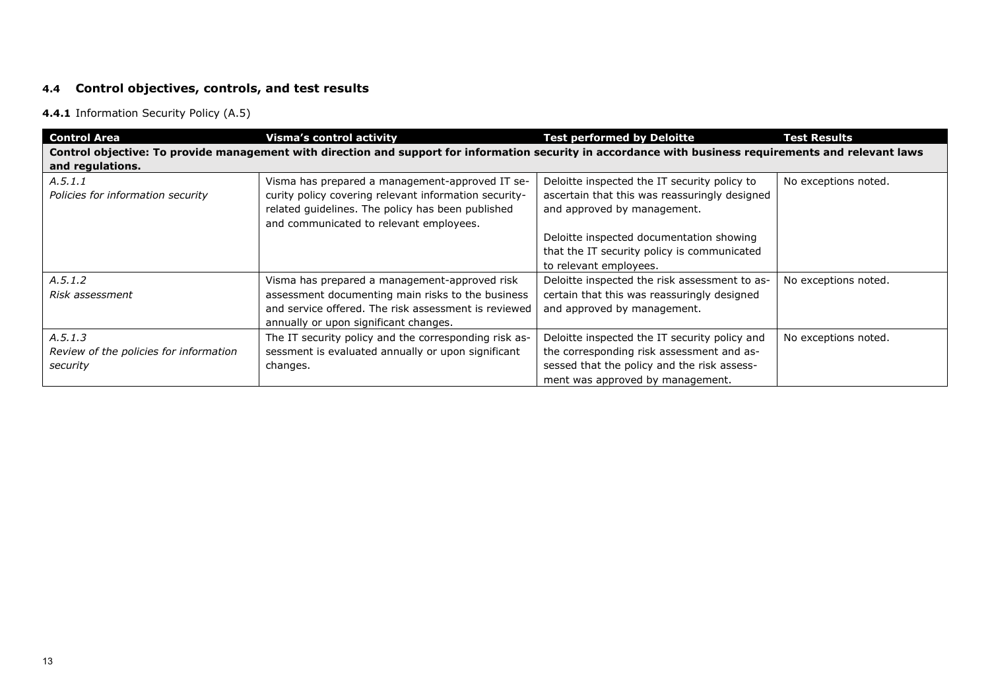## **4.4 Control objectives, controls, and test results**

## **4.4.1** Information Security Policy (A.5)

| <b>Control Area</b>                    | <b>Visma's control activity</b>                                                                                                                         | <b>Test performed by Deloitte</b>             | <b>Test Results</b>  |  |
|----------------------------------------|---------------------------------------------------------------------------------------------------------------------------------------------------------|-----------------------------------------------|----------------------|--|
|                                        | Control objective: To provide management with direction and support for information security in accordance with business requirements and relevant laws |                                               |                      |  |
| and regulations.                       |                                                                                                                                                         |                                               |                      |  |
| A.5.1.1                                | Visma has prepared a management-approved IT se-                                                                                                         | Deloitte inspected the IT security policy to  | No exceptions noted. |  |
| Policies for information security      | curity policy covering relevant information security-                                                                                                   | ascertain that this was reassuringly designed |                      |  |
|                                        | related guidelines. The policy has been published                                                                                                       | and approved by management.                   |                      |  |
|                                        | and communicated to relevant employees.                                                                                                                 |                                               |                      |  |
|                                        |                                                                                                                                                         | Deloitte inspected documentation showing      |                      |  |
|                                        |                                                                                                                                                         | that the IT security policy is communicated   |                      |  |
|                                        |                                                                                                                                                         | to relevant employees.                        |                      |  |
| A.5.1.2                                | Visma has prepared a management-approved risk                                                                                                           | Deloitte inspected the risk assessment to as- | No exceptions noted. |  |
| Risk assessment                        | assessment documenting main risks to the business                                                                                                       | certain that this was reassuringly designed   |                      |  |
|                                        | and service offered. The risk assessment is reviewed                                                                                                    | and approved by management.                   |                      |  |
|                                        | annually or upon significant changes.                                                                                                                   |                                               |                      |  |
| A.5.1.3                                | The IT security policy and the corresponding risk as-                                                                                                   | Deloitte inspected the IT security policy and | No exceptions noted. |  |
| Review of the policies for information | sessment is evaluated annually or upon significant                                                                                                      | the corresponding risk assessment and as-     |                      |  |
| security                               | changes.                                                                                                                                                | sessed that the policy and the risk assess-   |                      |  |
|                                        |                                                                                                                                                         | ment was approved by management.              |                      |  |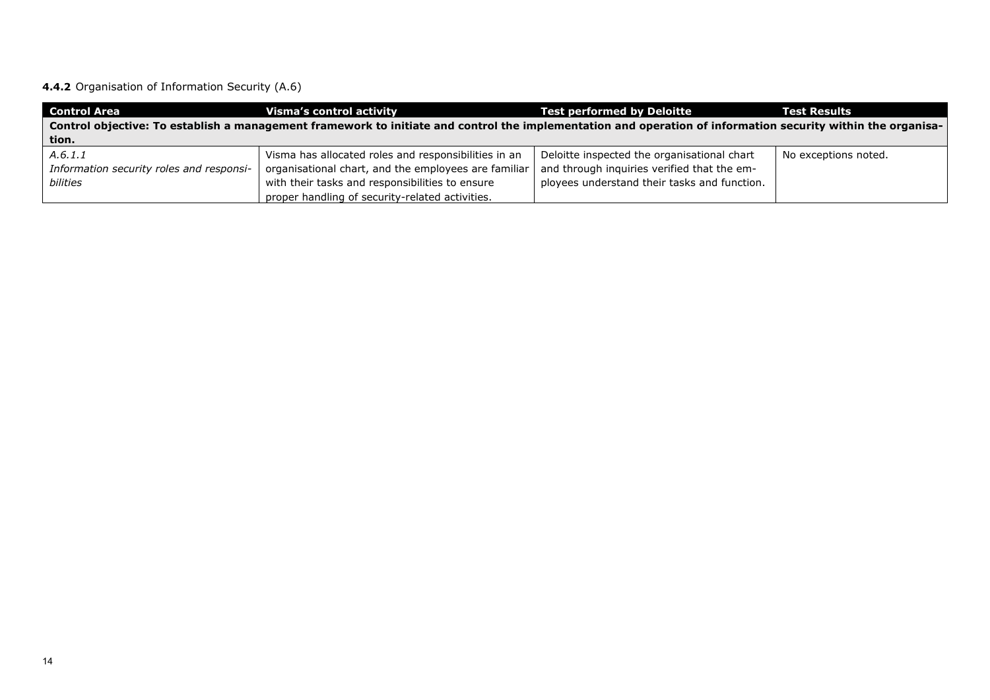**4.4.2** Organisation of Information Security (A.6)

| <b>Control Area</b>                      | Visma's control activity                                                                                                                                     | <b>Test performed by Deloitte</b>            | <b>Test Results</b>  |
|------------------------------------------|--------------------------------------------------------------------------------------------------------------------------------------------------------------|----------------------------------------------|----------------------|
|                                          | Control objective: To establish a management framework to initiate and control the implementation and operation of information security within the organisa- |                                              |                      |
| tion.                                    |                                                                                                                                                              |                                              |                      |
| A.6.1.1                                  | Visma has allocated roles and responsibilities in an                                                                                                         | Deloitte inspected the organisational chart  | No exceptions noted. |
| Information security roles and responsi- | organisational chart, and the employees are familiar                                                                                                         | and through inquiries verified that the em-  |                      |
| bilities                                 | with their tasks and responsibilities to ensure                                                                                                              | ployees understand their tasks and function. |                      |
|                                          | proper handling of security-related activities.                                                                                                              |                                              |                      |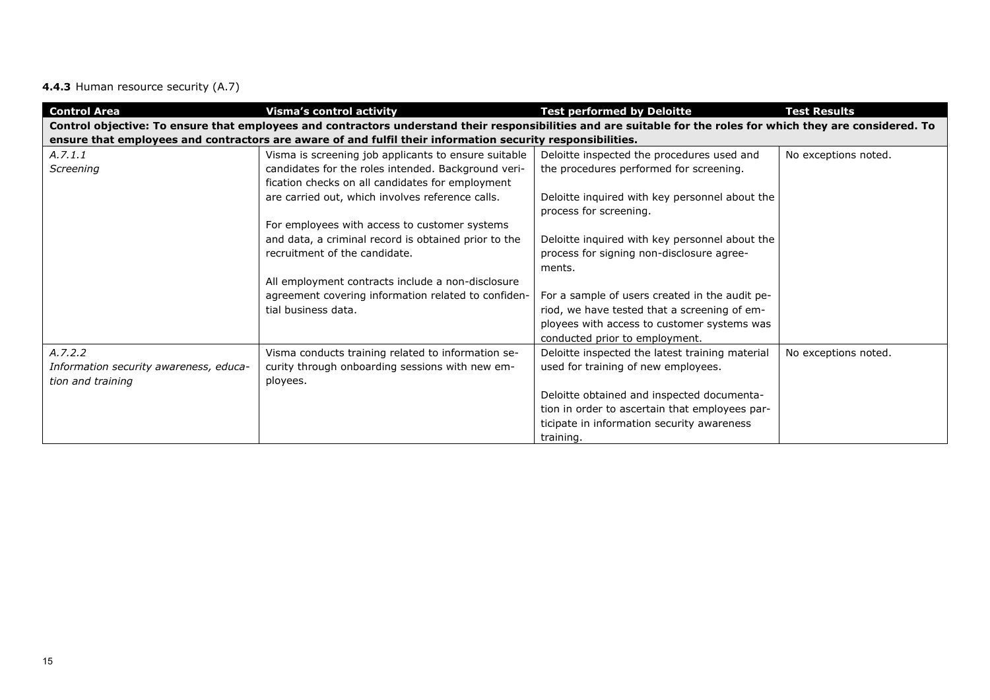**4.4.3** Human resource security (A.7)

| <b>Control Area</b>                    | <b>Visma's control activity</b>                                                                                                                                | <b>Test performed by Deloitte</b>               | <b>Test Results</b>  |  |
|----------------------------------------|----------------------------------------------------------------------------------------------------------------------------------------------------------------|-------------------------------------------------|----------------------|--|
|                                        | Control objective: To ensure that employees and contractors understand their responsibilities and are suitable for the roles for which they are considered. To |                                                 |                      |  |
|                                        | ensure that employees and contractors are aware of and fulfil their information security responsibilities.                                                     |                                                 |                      |  |
| A. 7. 1. 1                             | Visma is screening job applicants to ensure suitable                                                                                                           | Deloitte inspected the procedures used and      | No exceptions noted. |  |
| Screening                              | candidates for the roles intended. Background veri-                                                                                                            | the procedures performed for screening.         |                      |  |
|                                        | fication checks on all candidates for employment                                                                                                               |                                                 |                      |  |
|                                        | are carried out, which involves reference calls.                                                                                                               | Deloitte inquired with key personnel about the  |                      |  |
|                                        |                                                                                                                                                                | process for screening.                          |                      |  |
|                                        | For employees with access to customer systems                                                                                                                  |                                                 |                      |  |
|                                        | and data, a criminal record is obtained prior to the                                                                                                           | Deloitte inquired with key personnel about the  |                      |  |
|                                        | recruitment of the candidate.                                                                                                                                  | process for signing non-disclosure agree-       |                      |  |
|                                        |                                                                                                                                                                | ments.                                          |                      |  |
|                                        | All employment contracts include a non-disclosure                                                                                                              |                                                 |                      |  |
|                                        | agreement covering information related to confiden-                                                                                                            | For a sample of users created in the audit pe-  |                      |  |
|                                        | tial business data.                                                                                                                                            | riod, we have tested that a screening of em-    |                      |  |
|                                        |                                                                                                                                                                | ployees with access to customer systems was     |                      |  |
|                                        |                                                                                                                                                                | conducted prior to employment.                  |                      |  |
| A.7.2.2                                | Visma conducts training related to information se-                                                                                                             | Deloitte inspected the latest training material | No exceptions noted. |  |
| Information security awareness, educa- | curity through onboarding sessions with new em-                                                                                                                | used for training of new employees.             |                      |  |
| tion and training                      | ployees.                                                                                                                                                       |                                                 |                      |  |
|                                        |                                                                                                                                                                | Deloitte obtained and inspected documenta-      |                      |  |
|                                        |                                                                                                                                                                | tion in order to ascertain that employees par-  |                      |  |
|                                        |                                                                                                                                                                | ticipate in information security awareness      |                      |  |
|                                        |                                                                                                                                                                | training.                                       |                      |  |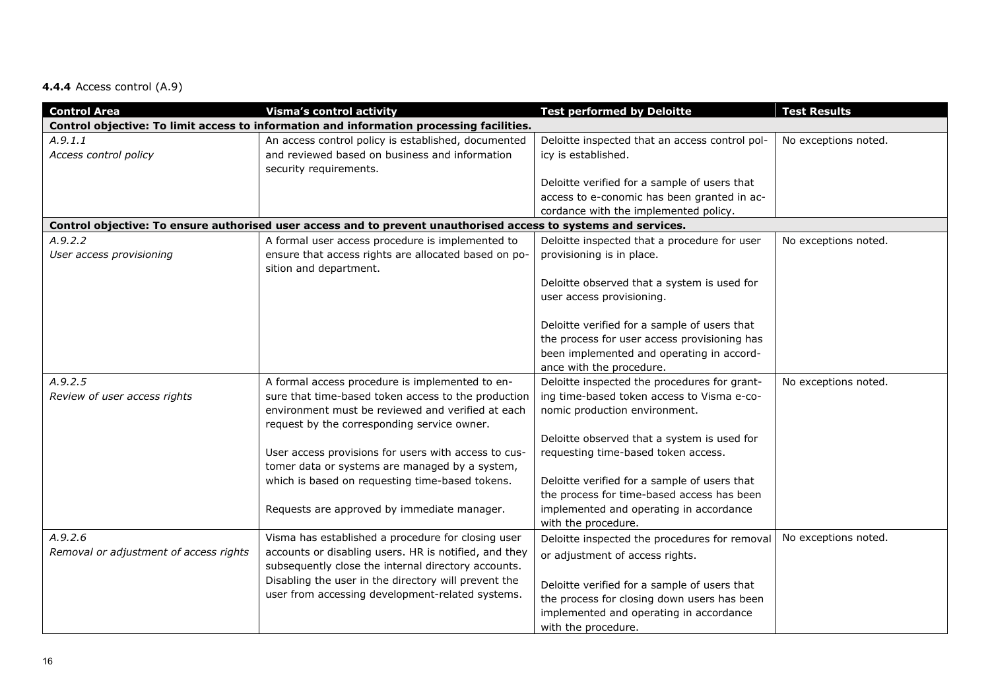## **4.4.4** Access control (A.9)

| <b>Control Area</b>                    | <b>Visma's control activity</b>                                                                                 | <b>Test performed by Deloitte</b>              | <b>Test Results</b>  |
|----------------------------------------|-----------------------------------------------------------------------------------------------------------------|------------------------------------------------|----------------------|
|                                        | Control objective: To limit access to information and information processing facilities.                        |                                                |                      |
| A.9.1.1                                | An access control policy is established, documented                                                             | Deloitte inspected that an access control pol- | No exceptions noted. |
| Access control policy                  | and reviewed based on business and information                                                                  | icy is established.                            |                      |
|                                        | security requirements.                                                                                          |                                                |                      |
|                                        |                                                                                                                 | Deloitte verified for a sample of users that   |                      |
|                                        |                                                                                                                 | access to e-conomic has been granted in ac-    |                      |
|                                        |                                                                                                                 | cordance with the implemented policy.          |                      |
|                                        | Control objective: To ensure authorised user access and to prevent unauthorised access to systems and services. |                                                |                      |
| A.9.2.2                                | A formal user access procedure is implemented to                                                                | Deloitte inspected that a procedure for user   | No exceptions noted. |
| User access provisioning               | ensure that access rights are allocated based on po-                                                            | provisioning is in place.                      |                      |
|                                        | sition and department.                                                                                          |                                                |                      |
|                                        |                                                                                                                 | Deloitte observed that a system is used for    |                      |
|                                        |                                                                                                                 | user access provisioning.                      |                      |
|                                        |                                                                                                                 |                                                |                      |
|                                        |                                                                                                                 | Deloitte verified for a sample of users that   |                      |
|                                        |                                                                                                                 | the process for user access provisioning has   |                      |
|                                        |                                                                                                                 | been implemented and operating in accord-      |                      |
|                                        |                                                                                                                 | ance with the procedure.                       |                      |
| A.9.2.5                                | A formal access procedure is implemented to en-                                                                 | Deloitte inspected the procedures for grant-   | No exceptions noted. |
| Review of user access rights           | sure that time-based token access to the production                                                             | ing time-based token access to Visma e-co-     |                      |
|                                        | environment must be reviewed and verified at each                                                               | nomic production environment.                  |                      |
|                                        | request by the corresponding service owner.                                                                     |                                                |                      |
|                                        |                                                                                                                 | Deloitte observed that a system is used for    |                      |
|                                        | User access provisions for users with access to cus-                                                            | requesting time-based token access.            |                      |
|                                        | tomer data or systems are managed by a system,                                                                  |                                                |                      |
|                                        | which is based on requesting time-based tokens.                                                                 | Deloitte verified for a sample of users that   |                      |
|                                        |                                                                                                                 | the process for time-based access has been     |                      |
|                                        | Requests are approved by immediate manager.                                                                     | implemented and operating in accordance        |                      |
|                                        |                                                                                                                 | with the procedure.                            |                      |
| A.9.2.6                                | Visma has established a procedure for closing user                                                              | Deloitte inspected the procedures for removal  | No exceptions noted. |
| Removal or adjustment of access rights | accounts or disabling users. HR is notified, and they                                                           | or adjustment of access rights.                |                      |
|                                        | subsequently close the internal directory accounts.                                                             |                                                |                      |
|                                        | Disabling the user in the directory will prevent the                                                            | Deloitte verified for a sample of users that   |                      |
|                                        | user from accessing development-related systems.                                                                | the process for closing down users has been    |                      |
|                                        |                                                                                                                 | implemented and operating in accordance        |                      |
|                                        |                                                                                                                 | with the procedure.                            |                      |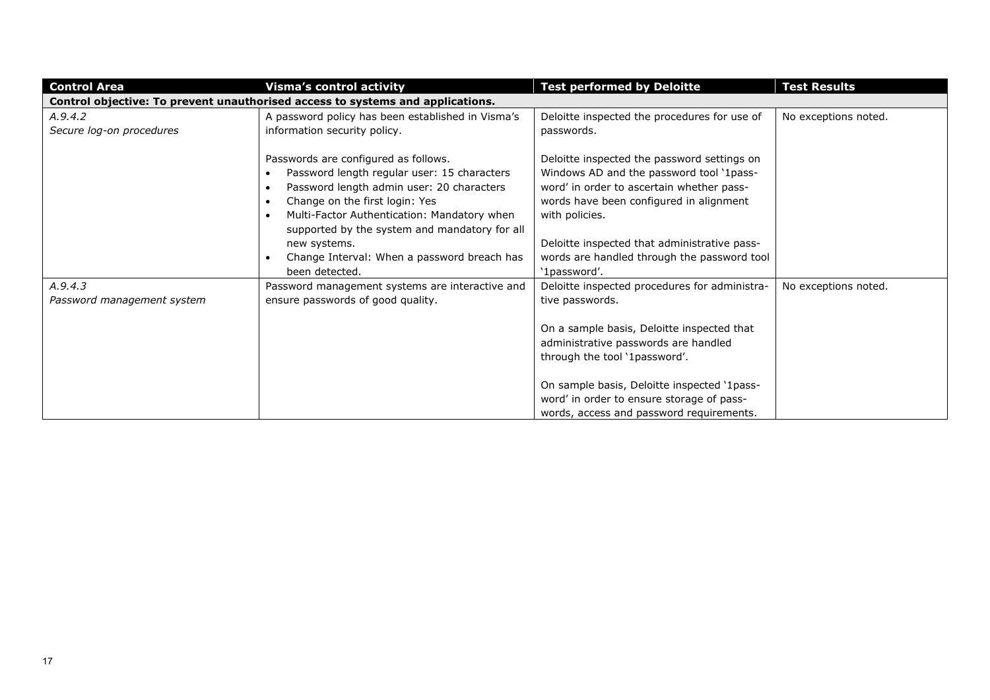| <b>Control Area</b>                   | <b>Visma's control activity</b>                                                                                                                                                                                                                                                                                                   | <b>Test performed by Deloitte</b>                                                                                                                                                                                                                                                                                                               | <b>Test Results</b>  |  |  |
|---------------------------------------|-----------------------------------------------------------------------------------------------------------------------------------------------------------------------------------------------------------------------------------------------------------------------------------------------------------------------------------|-------------------------------------------------------------------------------------------------------------------------------------------------------------------------------------------------------------------------------------------------------------------------------------------------------------------------------------------------|----------------------|--|--|
|                                       | Control objective: To prevent unauthorised access to systems and applications.                                                                                                                                                                                                                                                    |                                                                                                                                                                                                                                                                                                                                                 |                      |  |  |
| A.9.4.2<br>Secure log-on procedures   | A password policy has been established in Visma's<br>information security policy.                                                                                                                                                                                                                                                 | Deloitte inspected the procedures for use of<br>passwords.                                                                                                                                                                                                                                                                                      | No exceptions noted. |  |  |
|                                       | Passwords are configured as follows.<br>Password length regular user: 15 characters<br>Password length admin user: 20 characters<br>Change on the first login: Yes<br>Multi-Factor Authentication: Mandatory when<br>supported by the system and mandatory for all<br>new systems.<br>Change Interval: When a password breach has | Deloitte inspected the password settings on<br>Windows AD and the password tool '1pass-<br>word' in order to ascertain whether pass-<br>words have been configured in alignment<br>with policies.<br>Deloitte inspected that administrative pass-<br>words are handled through the password tool                                                |                      |  |  |
| A.9.4.3<br>Password management system | been detected.<br>Password management systems are interactive and<br>ensure passwords of good quality.                                                                                                                                                                                                                            | '1password'.<br>Deloitte inspected procedures for administra-<br>tive passwords.<br>On a sample basis, Deloitte inspected that<br>administrative passwords are handled<br>through the tool '1password'.<br>On sample basis, Deloitte inspected '1pass-<br>word' in order to ensure storage of pass-<br>words, access and password requirements. | No exceptions noted. |  |  |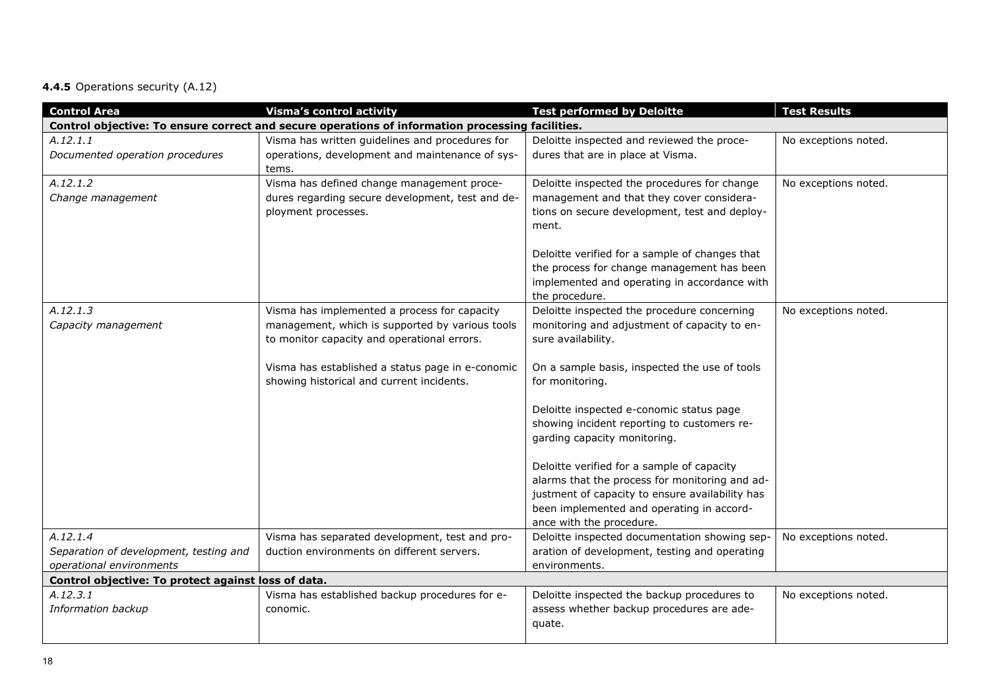## **4.4.5** Operations security (A.12)

| <b>Control Area</b>                                                | <b>Visma's control activity</b>                                                                                                                                                                                                                 | <b>Test performed by Deloitte</b>                                                                                                                                                                                                                                                                                                                                                                                                                                                                                                            | <b>Test Results</b>  |
|--------------------------------------------------------------------|-------------------------------------------------------------------------------------------------------------------------------------------------------------------------------------------------------------------------------------------------|----------------------------------------------------------------------------------------------------------------------------------------------------------------------------------------------------------------------------------------------------------------------------------------------------------------------------------------------------------------------------------------------------------------------------------------------------------------------------------------------------------------------------------------------|----------------------|
|                                                                    | Control objective: To ensure correct and secure operations of information processing facilities.                                                                                                                                                |                                                                                                                                                                                                                                                                                                                                                                                                                                                                                                                                              |                      |
| A.12.1.1<br>Documented operation procedures                        | Visma has written guidelines and procedures for<br>operations, development and maintenance of sys-<br>tems.                                                                                                                                     | Deloitte inspected and reviewed the proce-<br>dures that are in place at Visma.                                                                                                                                                                                                                                                                                                                                                                                                                                                              | No exceptions noted. |
| A.12.1.2<br>Change management                                      | Visma has defined change management proce-<br>dures regarding secure development, test and de-<br>ployment processes.                                                                                                                           | Deloitte inspected the procedures for change<br>management and that they cover considera-<br>tions on secure development, test and deploy-<br>ment.<br>Deloitte verified for a sample of changes that<br>the process for change management has been                                                                                                                                                                                                                                                                                          | No exceptions noted. |
|                                                                    |                                                                                                                                                                                                                                                 | implemented and operating in accordance with<br>the procedure.                                                                                                                                                                                                                                                                                                                                                                                                                                                                               |                      |
| A.12.1.3<br>Capacity management                                    | Visma has implemented a process for capacity<br>management, which is supported by various tools<br>to monitor capacity and operational errors.<br>Visma has established a status page in e-conomic<br>showing historical and current incidents. | Deloitte inspected the procedure concerning<br>monitoring and adjustment of capacity to en-<br>sure availability.<br>On a sample basis, inspected the use of tools<br>for monitoring.<br>Deloitte inspected e-conomic status page<br>showing incident reporting to customers re-<br>garding capacity monitoring.<br>Deloitte verified for a sample of capacity<br>alarms that the process for monitoring and ad-<br>justment of capacity to ensure availability has<br>been implemented and operating in accord-<br>ance with the procedure. | No exceptions noted. |
| A.12.1.4                                                           | Visma has separated development, test and pro-                                                                                                                                                                                                  | Deloitte inspected documentation showing sep-                                                                                                                                                                                                                                                                                                                                                                                                                                                                                                | No exceptions noted. |
| Separation of development, testing and<br>operational environments | duction environments on different servers.                                                                                                                                                                                                      | aration of development, testing and operating<br>environments.                                                                                                                                                                                                                                                                                                                                                                                                                                                                               |                      |
| Control objective: To protect against loss of data.                |                                                                                                                                                                                                                                                 |                                                                                                                                                                                                                                                                                                                                                                                                                                                                                                                                              |                      |
| A.12.3.1<br>Information backup                                     | Visma has established backup procedures for e-<br>conomic.                                                                                                                                                                                      | Deloitte inspected the backup procedures to<br>assess whether backup procedures are ade-<br>quate.                                                                                                                                                                                                                                                                                                                                                                                                                                           | No exceptions noted. |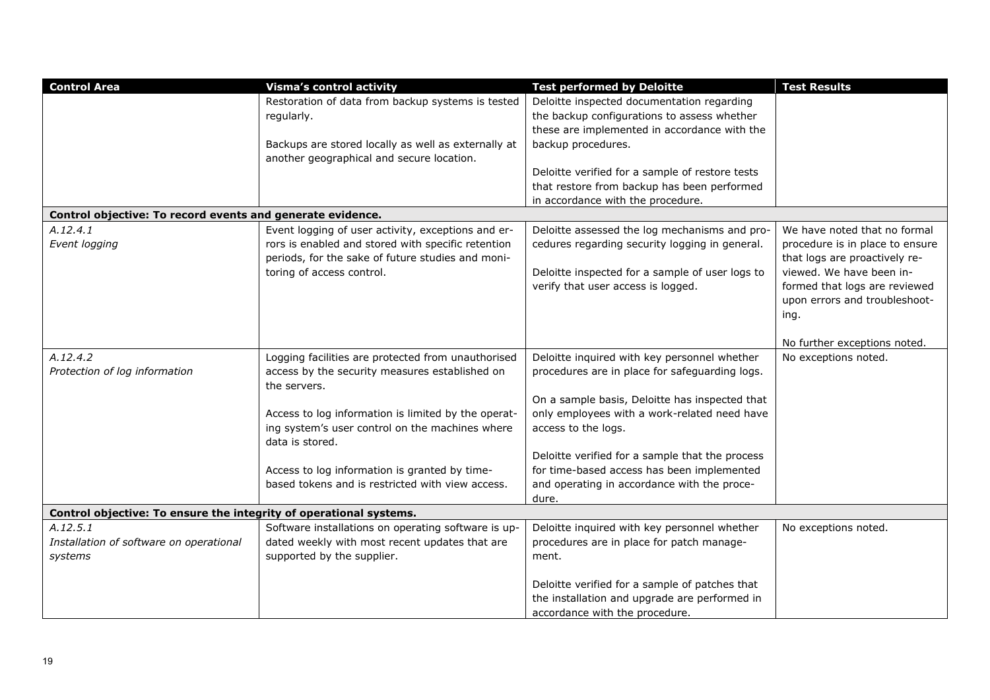| <b>Control Area</b>                                                | <b>Visma's control activity</b>                     | <b>Test performed by Deloitte</b>               | <b>Test Results</b>             |
|--------------------------------------------------------------------|-----------------------------------------------------|-------------------------------------------------|---------------------------------|
|                                                                    | Restoration of data from backup systems is tested   | Deloitte inspected documentation regarding      |                                 |
|                                                                    | regularly.                                          | the backup configurations to assess whether     |                                 |
|                                                                    |                                                     | these are implemented in accordance with the    |                                 |
|                                                                    | Backups are stored locally as well as externally at | backup procedures.                              |                                 |
|                                                                    | another geographical and secure location.           |                                                 |                                 |
|                                                                    |                                                     | Deloitte verified for a sample of restore tests |                                 |
|                                                                    |                                                     | that restore from backup has been performed     |                                 |
|                                                                    |                                                     | in accordance with the procedure.               |                                 |
| Control objective: To record events and generate evidence.         |                                                     |                                                 |                                 |
| A.12.4.1                                                           | Event logging of user activity, exceptions and er-  | Deloitte assessed the log mechanisms and pro-   | We have noted that no formal    |
| Event logging                                                      | rors is enabled and stored with specific retention  | cedures regarding security logging in general.  | procedure is in place to ensure |
|                                                                    | periods, for the sake of future studies and moni-   |                                                 | that logs are proactively re-   |
|                                                                    | toring of access control.                           | Deloitte inspected for a sample of user logs to | viewed. We have been in-        |
|                                                                    |                                                     | verify that user access is logged.              | formed that logs are reviewed   |
|                                                                    |                                                     |                                                 | upon errors and troubleshoot-   |
|                                                                    |                                                     |                                                 | ing.                            |
|                                                                    |                                                     |                                                 |                                 |
|                                                                    |                                                     |                                                 | No further exceptions noted.    |
| A.12.4.2                                                           | Logging facilities are protected from unauthorised  | Deloitte inquired with key personnel whether    | No exceptions noted.            |
| Protection of log information                                      | access by the security measures established on      | procedures are in place for safeguarding logs.  |                                 |
|                                                                    | the servers.                                        |                                                 |                                 |
|                                                                    |                                                     | On a sample basis, Deloitte has inspected that  |                                 |
|                                                                    | Access to log information is limited by the operat- | only employees with a work-related need have    |                                 |
|                                                                    | ing system's user control on the machines where     | access to the logs.                             |                                 |
|                                                                    | data is stored.                                     |                                                 |                                 |
|                                                                    |                                                     | Deloitte verified for a sample that the process |                                 |
|                                                                    | Access to log information is granted by time-       | for time-based access has been implemented      |                                 |
|                                                                    | based tokens and is restricted with view access.    | and operating in accordance with the proce-     |                                 |
|                                                                    |                                                     | dure.                                           |                                 |
| Control objective: To ensure the integrity of operational systems. |                                                     |                                                 |                                 |
| A.12.5.1                                                           | Software installations on operating software is up- | Deloitte inquired with key personnel whether    | No exceptions noted.            |
| Installation of software on operational                            | dated weekly with most recent updates that are      | procedures are in place for patch manage-       |                                 |
| systems                                                            | supported by the supplier.                          | ment.                                           |                                 |
|                                                                    |                                                     |                                                 |                                 |
|                                                                    |                                                     | Deloitte verified for a sample of patches that  |                                 |
|                                                                    |                                                     | the installation and upgrade are performed in   |                                 |
|                                                                    |                                                     | accordance with the procedure.                  |                                 |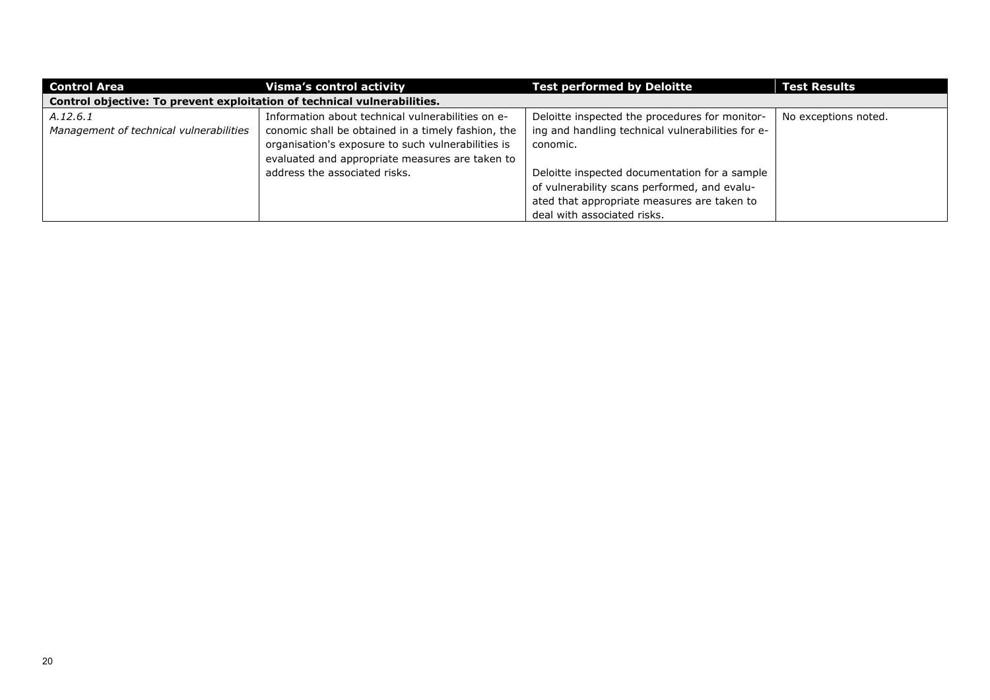| <b>Control Area</b>                                                      | <b>Visma's control activity</b>                    | <b>Test performed by Deloitte</b>                 | <b>Test Results</b>  |
|--------------------------------------------------------------------------|----------------------------------------------------|---------------------------------------------------|----------------------|
| Control objective: To prevent exploitation of technical vulnerabilities. |                                                    |                                                   |                      |
| A.12.6.1                                                                 | Information about technical vulnerabilities on e-  | Deloitte inspected the procedures for monitor-    | No exceptions noted. |
| Management of technical vulnerabilities                                  | conomic shall be obtained in a timely fashion, the | ing and handling technical vulnerabilities for e- |                      |
|                                                                          | organisation's exposure to such vulnerabilities is | conomic.                                          |                      |
|                                                                          | evaluated and appropriate measures are taken to    |                                                   |                      |
|                                                                          | address the associated risks.                      | Deloitte inspected documentation for a sample     |                      |
|                                                                          |                                                    | of vulnerability scans performed, and evalu-      |                      |
|                                                                          |                                                    | ated that appropriate measures are taken to       |                      |
|                                                                          |                                                    | deal with associated risks.                       |                      |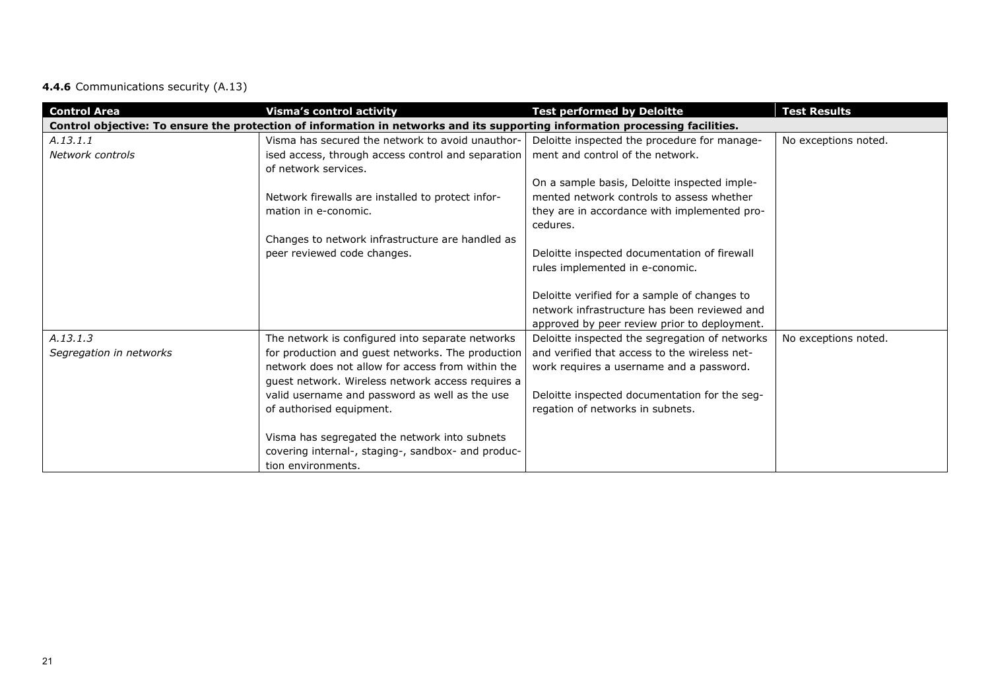## **4.4.6** Communications security (A.13)

| <b>Control Area</b>     | <b>Visma's control activity</b>                                                                                              | <b>Test performed by Deloitte</b>              | <b>Test Results</b>  |
|-------------------------|------------------------------------------------------------------------------------------------------------------------------|------------------------------------------------|----------------------|
|                         | Control objective: To ensure the protection of information in networks and its supporting information processing facilities. |                                                |                      |
| A.13.1.1                | Visma has secured the network to avoid unauthor-                                                                             | Deloitte inspected the procedure for manage-   | No exceptions noted. |
| Network controls        | ised access, through access control and separation                                                                           | ment and control of the network.               |                      |
|                         | of network services.                                                                                                         |                                                |                      |
|                         |                                                                                                                              | On a sample basis, Deloitte inspected imple-   |                      |
|                         | Network firewalls are installed to protect infor-                                                                            | mented network controls to assess whether      |                      |
|                         | mation in e-conomic.                                                                                                         | they are in accordance with implemented pro-   |                      |
|                         |                                                                                                                              | cedures.                                       |                      |
|                         | Changes to network infrastructure are handled as                                                                             |                                                |                      |
|                         | peer reviewed code changes.                                                                                                  | Deloitte inspected documentation of firewall   |                      |
|                         |                                                                                                                              | rules implemented in e-conomic.                |                      |
|                         |                                                                                                                              |                                                |                      |
|                         |                                                                                                                              | Deloitte verified for a sample of changes to   |                      |
|                         |                                                                                                                              | network infrastructure has been reviewed and   |                      |
|                         |                                                                                                                              | approved by peer review prior to deployment.   |                      |
| A.13.1.3                | The network is configured into separate networks                                                                             | Deloitte inspected the segregation of networks | No exceptions noted. |
| Segregation in networks | for production and guest networks. The production                                                                            | and verified that access to the wireless net-  |                      |
|                         | network does not allow for access from within the                                                                            | work requires a username and a password.       |                      |
|                         | guest network. Wireless network access requires a                                                                            |                                                |                      |
|                         | valid username and password as well as the use                                                                               | Deloitte inspected documentation for the seg-  |                      |
|                         | of authorised equipment.                                                                                                     | regation of networks in subnets.               |                      |
|                         |                                                                                                                              |                                                |                      |
|                         | Visma has segregated the network into subnets                                                                                |                                                |                      |
|                         | covering internal-, staging-, sandbox- and produc-                                                                           |                                                |                      |
|                         | tion environments.                                                                                                           |                                                |                      |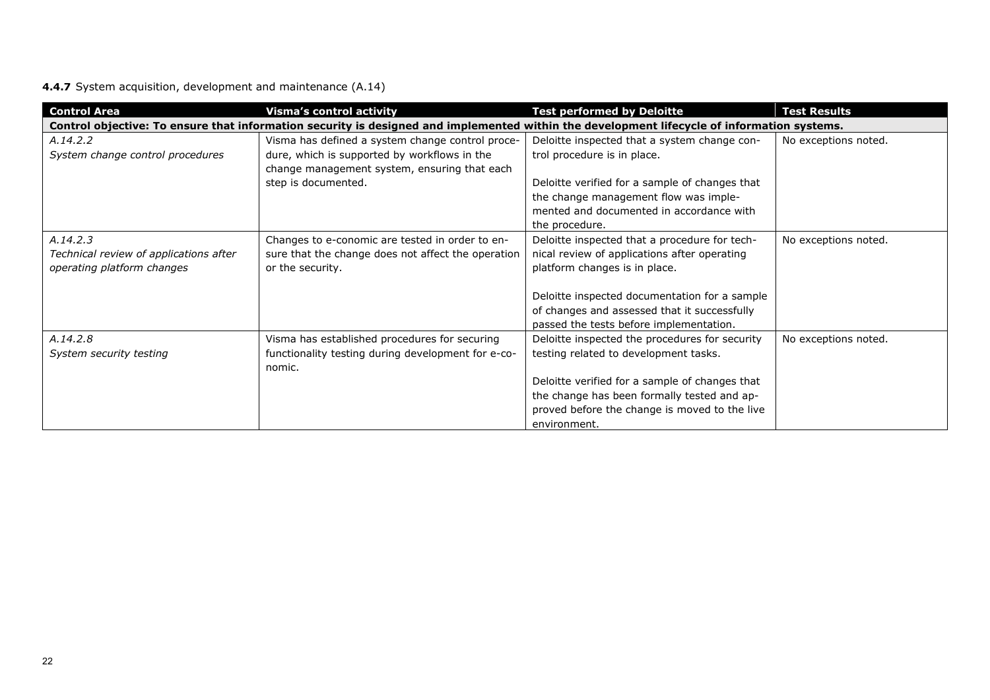## **4.4.7** System acquisition, development and maintenance (A.14)

| <b>Control Area</b>                    | <b>Visma's control activity</b>                                                                                                             | <b>Test performed by Deloitte</b>              | <b>Test Results</b>  |
|----------------------------------------|---------------------------------------------------------------------------------------------------------------------------------------------|------------------------------------------------|----------------------|
|                                        | Control objective: To ensure that information security is designed and implemented within the development lifecycle of information systems. |                                                |                      |
| A.14.2.2                               | Visma has defined a system change control proce-                                                                                            | Deloitte inspected that a system change con-   | No exceptions noted. |
| System change control procedures       | dure, which is supported by workflows in the                                                                                                | trol procedure is in place.                    |                      |
|                                        | change management system, ensuring that each                                                                                                |                                                |                      |
|                                        | step is documented.                                                                                                                         | Deloitte verified for a sample of changes that |                      |
|                                        |                                                                                                                                             | the change management flow was imple-          |                      |
|                                        |                                                                                                                                             | mented and documented in accordance with       |                      |
|                                        |                                                                                                                                             | the procedure.                                 |                      |
| A.14.2.3                               | Changes to e-conomic are tested in order to en-                                                                                             | Deloitte inspected that a procedure for tech-  | No exceptions noted. |
| Technical review of applications after | sure that the change does not affect the operation                                                                                          | nical review of applications after operating   |                      |
| operating platform changes             | or the security.                                                                                                                            | platform changes is in place.                  |                      |
|                                        |                                                                                                                                             |                                                |                      |
|                                        |                                                                                                                                             | Deloitte inspected documentation for a sample  |                      |
|                                        |                                                                                                                                             | of changes and assessed that it successfully   |                      |
|                                        |                                                                                                                                             | passed the tests before implementation.        |                      |
| A.14.2.8                               | Visma has established procedures for securing                                                                                               | Deloitte inspected the procedures for security | No exceptions noted. |
| System security testing                | functionality testing during development for e-co-                                                                                          | testing related to development tasks.          |                      |
|                                        | nomic.                                                                                                                                      |                                                |                      |
|                                        |                                                                                                                                             | Deloitte verified for a sample of changes that |                      |
|                                        |                                                                                                                                             | the change has been formally tested and ap-    |                      |
|                                        |                                                                                                                                             | proved before the change is moved to the live  |                      |
|                                        |                                                                                                                                             | environment.                                   |                      |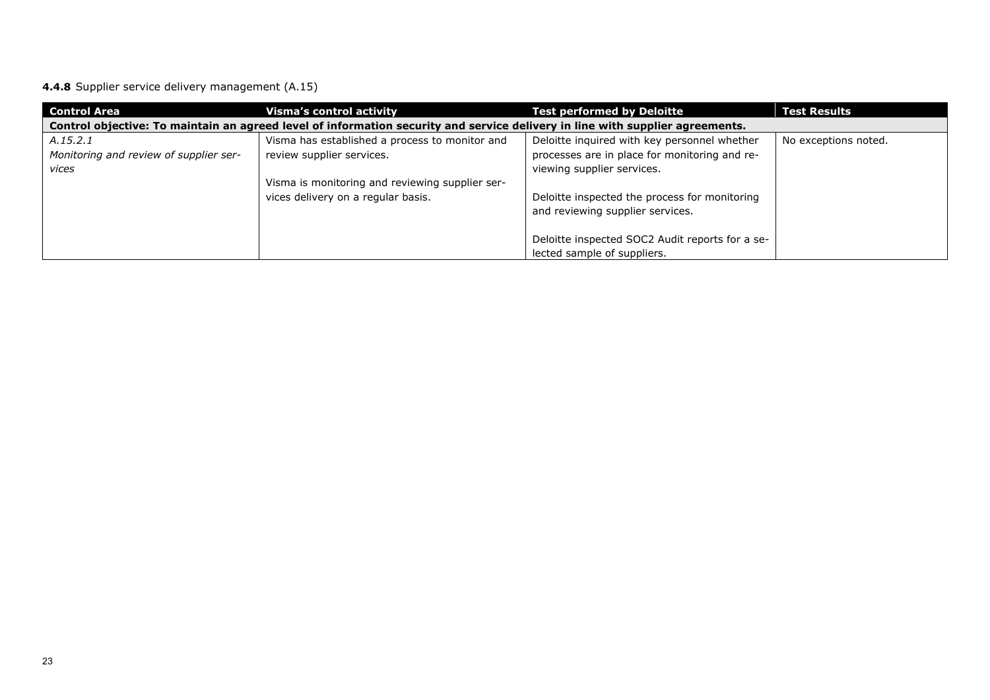**4.4.8** Supplier service delivery management (A.15)

| <b>Control Area</b>                                                                                                           | Visma's control activity                        | <b>Test performed by Deloitte</b>               | <b>Test Results</b>  |  |  |
|-------------------------------------------------------------------------------------------------------------------------------|-------------------------------------------------|-------------------------------------------------|----------------------|--|--|
| Control objective: To maintain an agreed level of information security and service delivery in line with supplier agreements. |                                                 |                                                 |                      |  |  |
| A.15.2.1                                                                                                                      | Visma has established a process to monitor and  | Deloitte inquired with key personnel whether    | No exceptions noted. |  |  |
| Monitoring and review of supplier ser-                                                                                        | review supplier services.                       | processes are in place for monitoring and re-   |                      |  |  |
| vices                                                                                                                         |                                                 | viewing supplier services.                      |                      |  |  |
|                                                                                                                               | Visma is monitoring and reviewing supplier ser- |                                                 |                      |  |  |
|                                                                                                                               | vices delivery on a regular basis.              | Deloitte inspected the process for monitoring   |                      |  |  |
|                                                                                                                               |                                                 | and reviewing supplier services.                |                      |  |  |
|                                                                                                                               |                                                 |                                                 |                      |  |  |
|                                                                                                                               |                                                 | Deloitte inspected SOC2 Audit reports for a se- |                      |  |  |
|                                                                                                                               |                                                 | lected sample of suppliers.                     |                      |  |  |